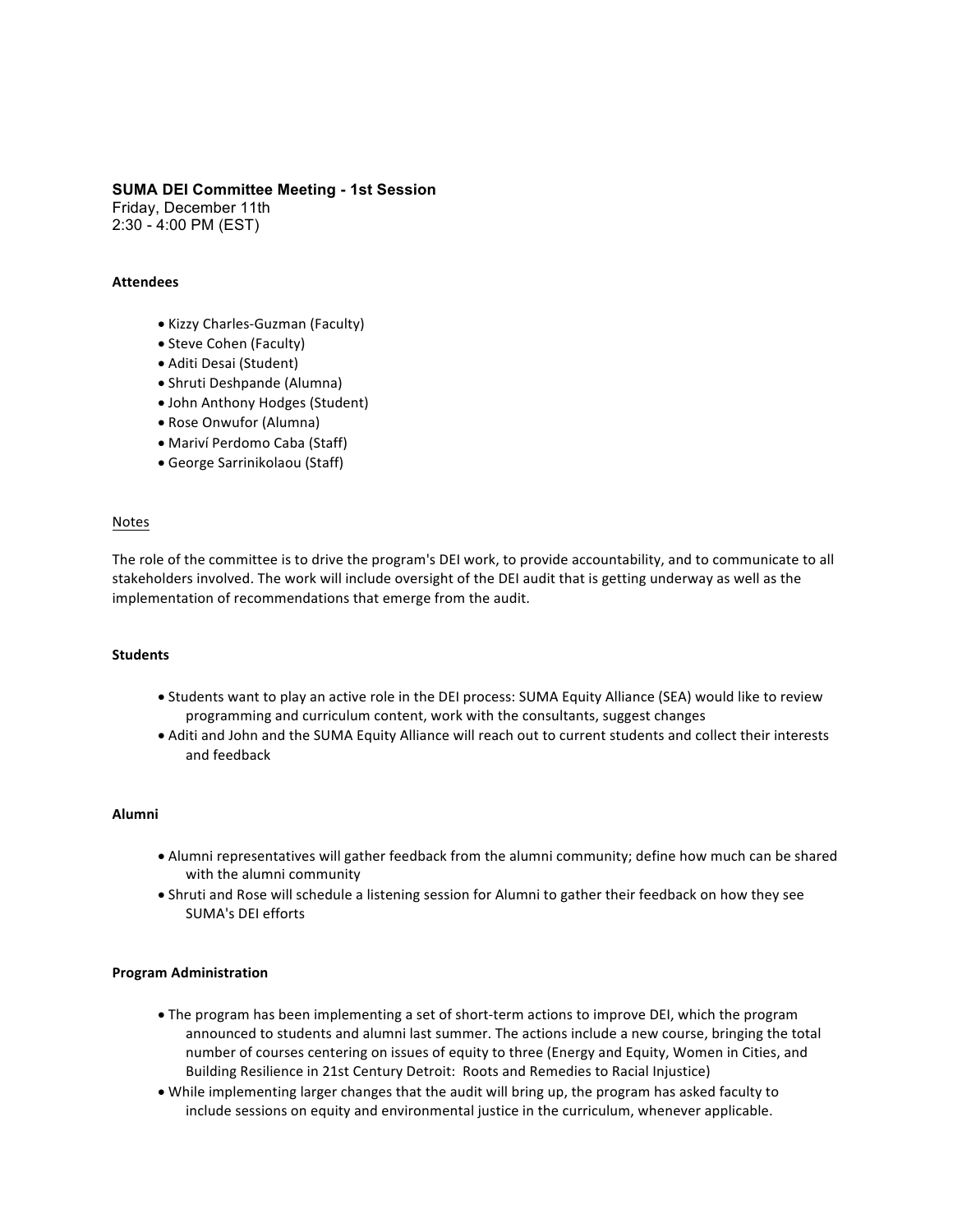### **SUMA DEI Committee Meeting - 1st Session**

Friday, December 11th 2:30 - 4:00 PM (EST)

### **Attendees**

- Kizzy Charles-Guzman (Faculty)
- Steve Cohen (Faculty)
- Aditi Desai (Student)
- Shruti Deshpande (Alumna)
- John Anthony Hodges (Student)
- Rose Onwufor (Alumna)
- Mariví Perdomo Caba (Staff)
- George Sarrinikolaou (Staff)

### **Notes**

The role of the committee is to drive the program's DEI work, to provide accountability, and to communicate to all stakeholders involved. The work will include oversight of the DEI audit that is getting underway as well as the implementation of recommendations that emerge from the audit.

#### **Students**

- Students want to play an active role in the DEI process: SUMA Equity Alliance (SEA) would like to review programming and curriculum content, work with the consultants, suggest changes
- Aditi and John and the SUMA Equity Alliance will reach out to current students and collect their interests and feedback

# **Alumni**

- Alumni representatives will gather feedback from the alumni community; define how much can be shared with the alumni community
- Shruti and Rose will schedule a listening session for Alumni to gather their feedback on how they see SUMA's DEI efforts

### **Program Administration**

- The program has been implementing a set of short-term actions to improve DEI, which the program announced to students and alumni last summer. The actions include a new course, bringing the total number of courses centering on issues of equity to three (Energy and Equity, Women in Cities, and Building Resilience in 21st Century Detroit: Roots and Remedies to Racial Injustice)
- While implementing larger changes that the audit will bring up, the program has asked faculty to include sessions on equity and environmental justice in the curriculum, whenever applicable.